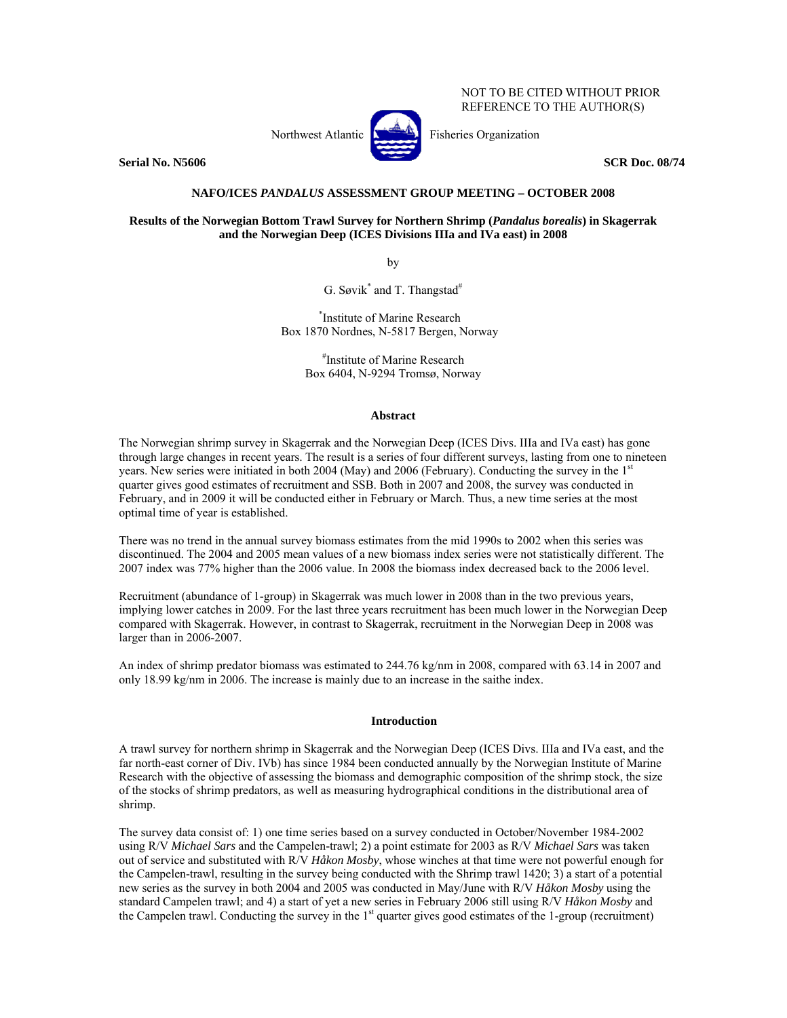NOT TO BE CITED WITHOUT PRIOR REFERENCE TO THE AUTHOR(S)

**Serial No. N5606** SCR Doc. 08/74



# **NAFO/ICES** *PANDALUS* **ASSESSMENT GROUP MEETING – OCTOBER 2008**

# **Results of the Norwegian Bottom Trawl Survey for Northern Shrimp (***Pandalus borealis***) in Skagerrak and the Norwegian Deep (ICES Divisions IIIa and IVa east) in 2008**

by

G. Søvik<sup>\*</sup> and T. Thangstad<sup>#</sup>

\* Institute of Marine Research Box 1870 Nordnes, N-5817 Bergen, Norway

> # Institute of Marine Research Box 6404, N-9294 Tromsø, Norway

## **Abstract**

The Norwegian shrimp survey in Skagerrak and the Norwegian Deep (ICES Divs. IIIa and IVa east) has gone through large changes in recent years. The result is a series of four different surveys, lasting from one to nineteen years. New series were initiated in both 2004 (May) and 2006 (February). Conducting the survey in the  $1<sup>st</sup>$ quarter gives good estimates of recruitment and SSB. Both in 2007 and 2008, the survey was conducted in February, and in 2009 it will be conducted either in February or March. Thus, a new time series at the most optimal time of year is established.

There was no trend in the annual survey biomass estimates from the mid 1990s to 2002 when this series was discontinued. The 2004 and 2005 mean values of a new biomass index series were not statistically different. The 2007 index was 77% higher than the 2006 value. In 2008 the biomass index decreased back to the 2006 level.

Recruitment (abundance of 1-group) in Skagerrak was much lower in 2008 than in the two previous years, implying lower catches in 2009. For the last three years recruitment has been much lower in the Norwegian Deep compared with Skagerrak. However, in contrast to Skagerrak, recruitment in the Norwegian Deep in 2008 was larger than in 2006-2007.

An index of shrimp predator biomass was estimated to 244.76 kg/nm in 2008, compared with 63.14 in 2007 and only 18.99 kg/nm in 2006. The increase is mainly due to an increase in the saithe index.

# **Introduction**

A trawl survey for northern shrimp in Skagerrak and the Norwegian Deep (ICES Divs. IIIa and IVa east, and the far north-east corner of Div. IVb) has since 1984 been conducted annually by the Norwegian Institute of Marine Research with the objective of assessing the biomass and demographic composition of the shrimp stock, the size of the stocks of shrimp predators, as well as measuring hydrographical conditions in the distributional area of shrimp.

The survey data consist of: 1) one time series based on a survey conducted in October/November 1984-2002 using R/V *Michael Sars* and the Campelen-trawl; 2) a point estimate for 2003 as R/V *Michael Sars* was taken out of service and substituted with R/V *Håkon Mosby*, whose winches at that time were not powerful enough for the Campelen-trawl, resulting in the survey being conducted with the Shrimp trawl 1420; 3) a start of a potential new series as the survey in both 2004 and 2005 was conducted in May/June with R/V *Håkon Mosby* using the standard Campelen trawl; and 4) a start of yet a new series in February 2006 still using R/V *Håkon Mosby* and the Campelen trawl. Conducting the survey in the 1<sup>st</sup> quarter gives good estimates of the 1-group (recruitment)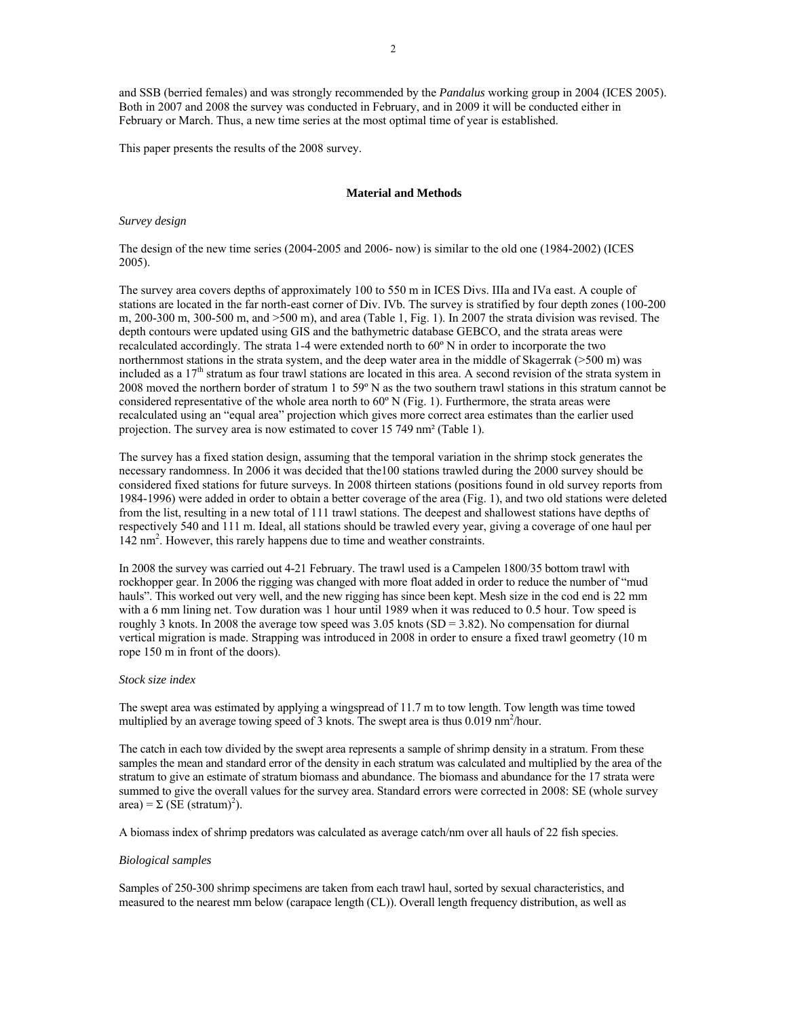and SSB (berried females) and was strongly recommended by the *Pandalus* working group in 2004 (ICES 2005). Both in 2007 and 2008 the survey was conducted in February, and in 2009 it will be conducted either in February or March. Thus, a new time series at the most optimal time of year is established.

This paper presents the results of the 2008 survey.

### **Material and Methods**

### *Survey design*

The design of the new time series (2004-2005 and 2006- now) is similar to the old one (1984-2002) (ICES 2005).

The survey area covers depths of approximately 100 to 550 m in ICES Divs. IIIa and IVa east. A couple of stations are located in the far north-east corner of Div. IVb. The survey is stratified by four depth zones (100-200 m, 200-300 m, 300-500 m, and >500 m), and area (Table 1, Fig. 1). In 2007 the strata division was revised. The depth contours were updated using GIS and the bathymetric database GEBCO, and the strata areas were recalculated accordingly. The strata 1-4 were extended north to 60º N in order to incorporate the two northernmost stations in the strata system, and the deep water area in the middle of Skagerrak (>500 m) was included as a 17<sup>th</sup> stratum as four trawl stations are located in this area. A second revision of the strata system in 2008 moved the northern border of stratum 1 to 59º N as the two southern trawl stations in this stratum cannot be considered representative of the whole area north to 60º N (Fig. 1). Furthermore, the strata areas were recalculated using an "equal area" projection which gives more correct area estimates than the earlier used projection. The survey area is now estimated to cover 15 749 nm² (Table 1).

The survey has a fixed station design, assuming that the temporal variation in the shrimp stock generates the necessary randomness. In 2006 it was decided that the100 stations trawled during the 2000 survey should be considered fixed stations for future surveys. In 2008 thirteen stations (positions found in old survey reports from 1984-1996) were added in order to obtain a better coverage of the area (Fig. 1), and two old stations were deleted from the list, resulting in a new total of 111 trawl stations. The deepest and shallowest stations have depths of respectively 540 and 111 m. Ideal, all stations should be trawled every year, giving a coverage of one haul per 142 nm<sup>2</sup>. However, this rarely happens due to time and weather constraints.

In 2008 the survey was carried out 4-21 February. The trawl used is a Campelen 1800/35 bottom trawl with rockhopper gear. In 2006 the rigging was changed with more float added in order to reduce the number of "mud hauls". This worked out very well, and the new rigging has since been kept. Mesh size in the cod end is 22 mm with a 6 mm lining net. Tow duration was 1 hour until 1989 when it was reduced to 0.5 hour. Tow speed is roughly 3 knots. In 2008 the average tow speed was  $3.05$  knots (SD =  $3.82$ ). No compensation for diurnal vertical migration is made. Strapping was introduced in 2008 in order to ensure a fixed trawl geometry (10 m rope 150 m in front of the doors).

### *Stock size index*

The swept area was estimated by applying a wingspread of 11.7 m to tow length. Tow length was time towed multiplied by an average towing speed of 3 knots. The swept area is thus  $0.019 \text{ nm}^2/\text{hour}$ .

The catch in each tow divided by the swept area represents a sample of shrimp density in a stratum. From these samples the mean and standard error of the density in each stratum was calculated and multiplied by the area of the stratum to give an estimate of stratum biomass and abundance. The biomass and abundance for the 17 strata were summed to give the overall values for the survey area. Standard errors were corrected in 2008: SE (whole survey  $area$ ) =  $\Sigma$  (SE (stratum)<sup>2</sup>).

A biomass index of shrimp predators was calculated as average catch/nm over all hauls of 22 fish species.

## *Biological samples*

Samples of 250-300 shrimp specimens are taken from each trawl haul, sorted by sexual characteristics, and measured to the nearest mm below (carapace length (CL)). Overall length frequency distribution, as well as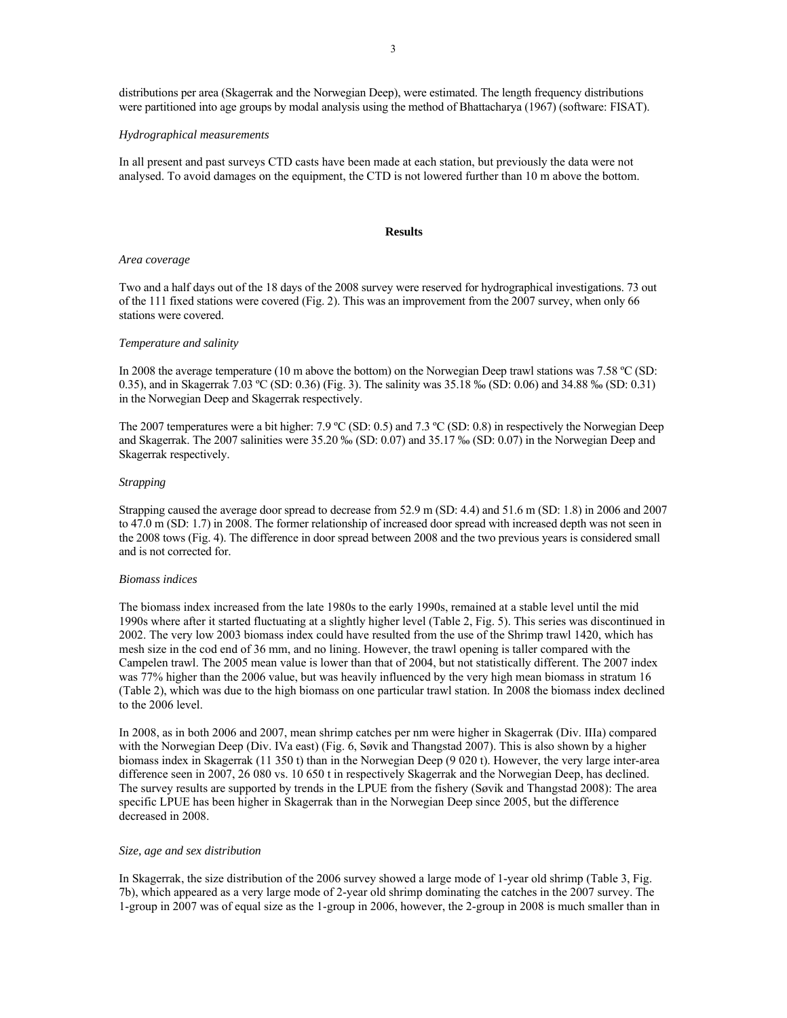distributions per area (Skagerrak and the Norwegian Deep), were estimated. The length frequency distributions were partitioned into age groups by modal analysis using the method of Bhattacharya (1967) (software: FISAT).

#### *Hydrographical measurements*

In all present and past surveys CTD casts have been made at each station, but previously the data were not analysed. To avoid damages on the equipment, the CTD is not lowered further than 10 m above the bottom.

## **Results**

#### *Area coverage*

Two and a half days out of the 18 days of the 2008 survey were reserved for hydrographical investigations. 73 out of the 111 fixed stations were covered (Fig. 2). This was an improvement from the 2007 survey, when only 66 stations were covered.

#### *Temperature and salinity*

In 2008 the average temperature (10 m above the bottom) on the Norwegian Deep trawl stations was 7.58 ºC (SD: 0.35), and in Skagerrak 7.03 ºC (SD: 0.36) (Fig. 3). The salinity was 35.18 ‰ (SD: 0.06) and 34.88 ‰ (SD: 0.31) in the Norwegian Deep and Skagerrak respectively.

The 2007 temperatures were a bit higher: 7.9 °C (SD: 0.5) and 7.3 °C (SD: 0.8) in respectively the Norwegian Deep and Skagerrak. The 2007 salinities were 35.20 ‰ (SD: 0.07) and 35.17 ‰ (SD: 0.07) in the Norwegian Deep and Skagerrak respectively.

### *Strapping*

Strapping caused the average door spread to decrease from 52.9 m (SD: 4.4) and 51.6 m (SD: 1.8) in 2006 and 2007 to 47.0 m (SD: 1.7) in 2008. The former relationship of increased door spread with increased depth was not seen in the 2008 tows (Fig. 4). The difference in door spread between 2008 and the two previous years is considered small and is not corrected for.

### *Biomass indices*

The biomass index increased from the late 1980s to the early 1990s, remained at a stable level until the mid 1990s where after it started fluctuating at a slightly higher level (Table 2, Fig. 5). This series was discontinued in 2002. The very low 2003 biomass index could have resulted from the use of the Shrimp trawl 1420, which has mesh size in the cod end of 36 mm, and no lining. However, the trawl opening is taller compared with the Campelen trawl. The 2005 mean value is lower than that of 2004, but not statistically different. The 2007 index was 77% higher than the 2006 value, but was heavily influenced by the very high mean biomass in stratum 16 (Table 2), which was due to the high biomass on one particular trawl station. In 2008 the biomass index declined to the 2006 level.

In 2008, as in both 2006 and 2007, mean shrimp catches per nm were higher in Skagerrak (Div. IIIa) compared with the Norwegian Deep (Div. IVa east) (Fig. 6, Søvik and Thangstad 2007). This is also shown by a higher biomass index in Skagerrak (11 350 t) than in the Norwegian Deep (9 020 t). However, the very large inter-area difference seen in 2007, 26 080 vs. 10 650 t in respectively Skagerrak and the Norwegian Deep, has declined. The survey results are supported by trends in the LPUE from the fishery (Søvik and Thangstad 2008): The area specific LPUE has been higher in Skagerrak than in the Norwegian Deep since 2005, but the difference decreased in 2008.

#### *Size, age and sex distribution*

In Skagerrak, the size distribution of the 2006 survey showed a large mode of 1-year old shrimp (Table 3, Fig. 7b), which appeared as a very large mode of 2-year old shrimp dominating the catches in the 2007 survey. The 1-group in 2007 was of equal size as the 1-group in 2006, however, the 2-group in 2008 is much smaller than in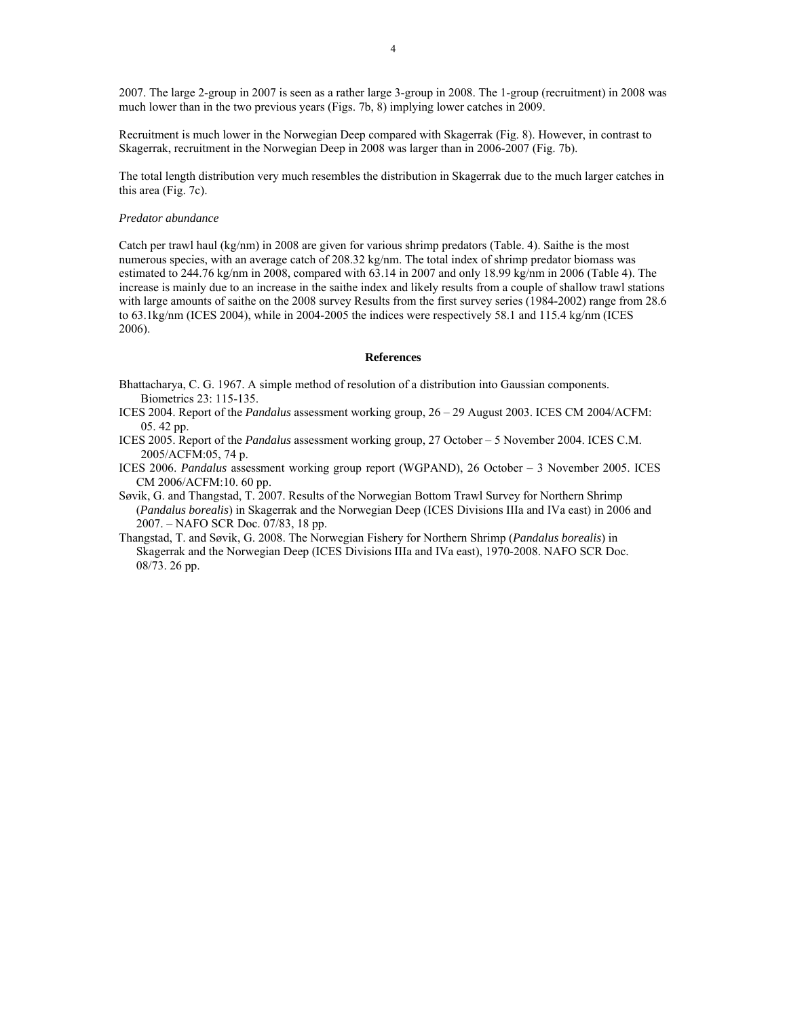2007. The large 2-group in 2007 is seen as a rather large 3-group in 2008. The 1-group (recruitment) in 2008 was much lower than in the two previous years (Figs. 7b, 8) implying lower catches in 2009.

Recruitment is much lower in the Norwegian Deep compared with Skagerrak (Fig. 8). However, in contrast to Skagerrak, recruitment in the Norwegian Deep in 2008 was larger than in 2006-2007 (Fig. 7b).

The total length distribution very much resembles the distribution in Skagerrak due to the much larger catches in this area (Fig. 7c).

### *Predator abundance*

Catch per trawl haul (kg/nm) in 2008 are given for various shrimp predators (Table. 4). Saithe is the most numerous species, with an average catch of 208.32 kg/nm. The total index of shrimp predator biomass was estimated to 244.76 kg/nm in 2008, compared with 63.14 in 2007 and only 18.99 kg/nm in 2006 (Table 4). The increase is mainly due to an increase in the saithe index and likely results from a couple of shallow trawl stations with large amounts of saithe on the 2008 survey Results from the first survey series (1984-2002) range from 28.6 to 63.1kg/nm (ICES 2004), while in 2004-2005 the indices were respectively 58.1 and 115.4 kg/nm (ICES 2006).

### **References**

Bhattacharya, C. G. 1967. A simple method of resolution of a distribution into Gaussian components. Biometrics 23: 115-135.

- ICES 2004. Report of the *Pandalus* assessment working group, 26 29 August 2003. ICES CM 2004/ACFM: 05. 42 pp.
- ICES 2005. Report of the *Pandalus* assessment working group, 27 October 5 November 2004. ICES C.M. 2005/ACFM:05, 74 p.

ICES 2006. *Pandalus* assessment working group report (WGPAND), 26 October – 3 November 2005. ICES CM 2006/ACFM:10. 60 pp.

- Søvik, G. and Thangstad, T. 2007. Results of the Norwegian Bottom Trawl Survey for Northern Shrimp (*Pandalus borealis*) in Skagerrak and the Norwegian Deep (ICES Divisions IIIa and IVa east) in 2006 and 2007. – NAFO SCR Doc. 07/83, 18 pp.
- Thangstad, T. and Søvik, G. 2008. The Norwegian Fishery for Northern Shrimp (*Pandalus borealis*) in Skagerrak and the Norwegian Deep (ICES Divisions IIIa and IVa east), 1970-2008. NAFO SCR Doc. 08/73. 26 pp.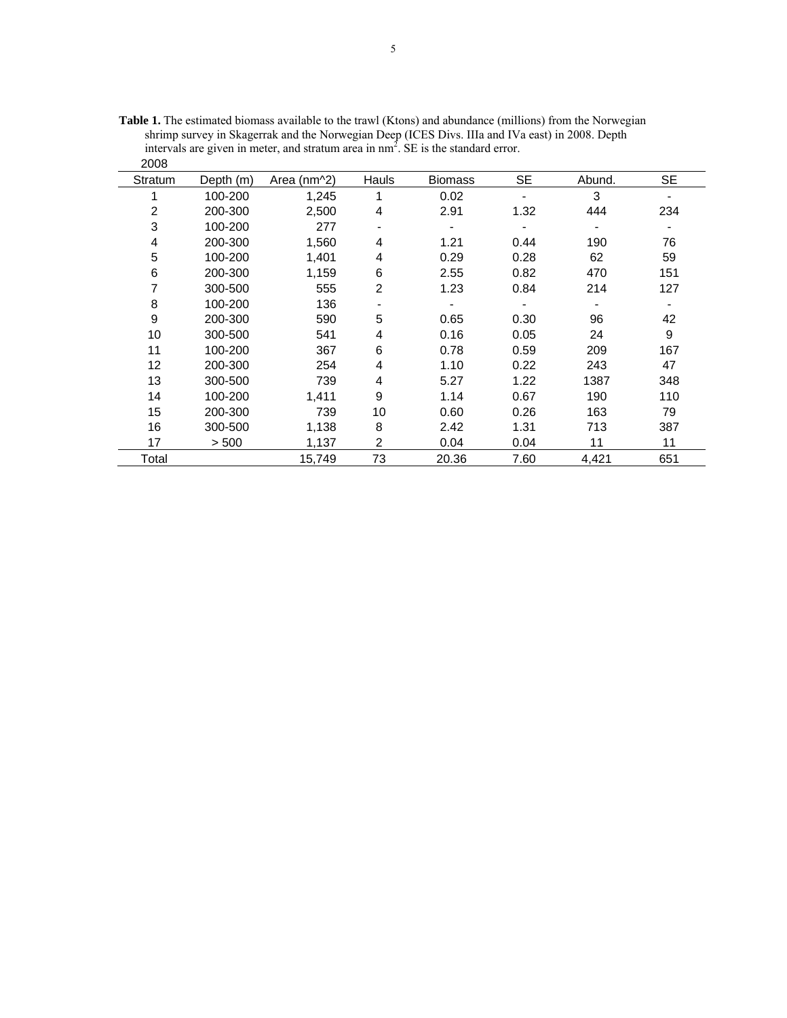| ∠∪∪            |           |             |                |                |           |        |           |
|----------------|-----------|-------------|----------------|----------------|-----------|--------|-----------|
| Stratum        | Depth (m) | Area (nm^2) | Hauls          | <b>Biomass</b> | <b>SE</b> | Abund. | <b>SE</b> |
|                | 100-200   | 1,245       | 1              | 0.02           |           | 3      |           |
| $\overline{2}$ | 200-300   | 2,500       | 4              | 2.91           | 1.32      | 444    | 234       |
| 3              | 100-200   | 277         | -              |                |           |        |           |
| 4              | 200-300   | 1,560       | 4              | 1.21           | 0.44      | 190    | 76        |
| 5              | 100-200   | 1,401       | 4              | 0.29           | 0.28      | 62     | 59        |
| 6              | 200-300   | 1,159       | 6              | 2.55           | 0.82      | 470    | 151       |
| 7              | 300-500   | 555         | $\overline{2}$ | 1.23           | 0.84      | 214    | 127       |
| 8              | 100-200   | 136         |                |                |           |        |           |
| 9              | 200-300   | 590         | 5              | 0.65           | 0.30      | 96     | 42        |
| 10             | 300-500   | 541         | 4              | 0.16           | 0.05      | 24     | 9         |
| 11             | 100-200   | 367         | 6              | 0.78           | 0.59      | 209    | 167       |
| 12             | 200-300   | 254         | 4              | 1.10           | 0.22      | 243    | 47        |
| 13             | 300-500   | 739         | 4              | 5.27           | 1.22      | 1387   | 348       |
| 14             | 100-200   | 1,411       | 9              | 1.14           | 0.67      | 190    | 110       |
| 15             | 200-300   | 739         | 10             | 0.60           | 0.26      | 163    | 79        |
| 16             | 300-500   | 1,138       | 8              | 2.42           | 1.31      | 713    | 387       |
| 17             | > 500     | 1,137       | $\overline{2}$ | 0.04           | 0.04      | 11     | 11        |
| Total          |           | 15,749      | 73             | 20.36          | 7.60      | 4,421  | 651       |

**Table 1.** The estimated biomass available to the trawl (Ktons) and abundance (millions) from the Norwegian shrimp survey in Skagerrak and the Norwegian Deep (ICES Divs. IIIa and IVa east) in 2008. Depth intervals are given in meter, and stratum area in  $nm<sup>2</sup>$ . SE is the standard error. 2008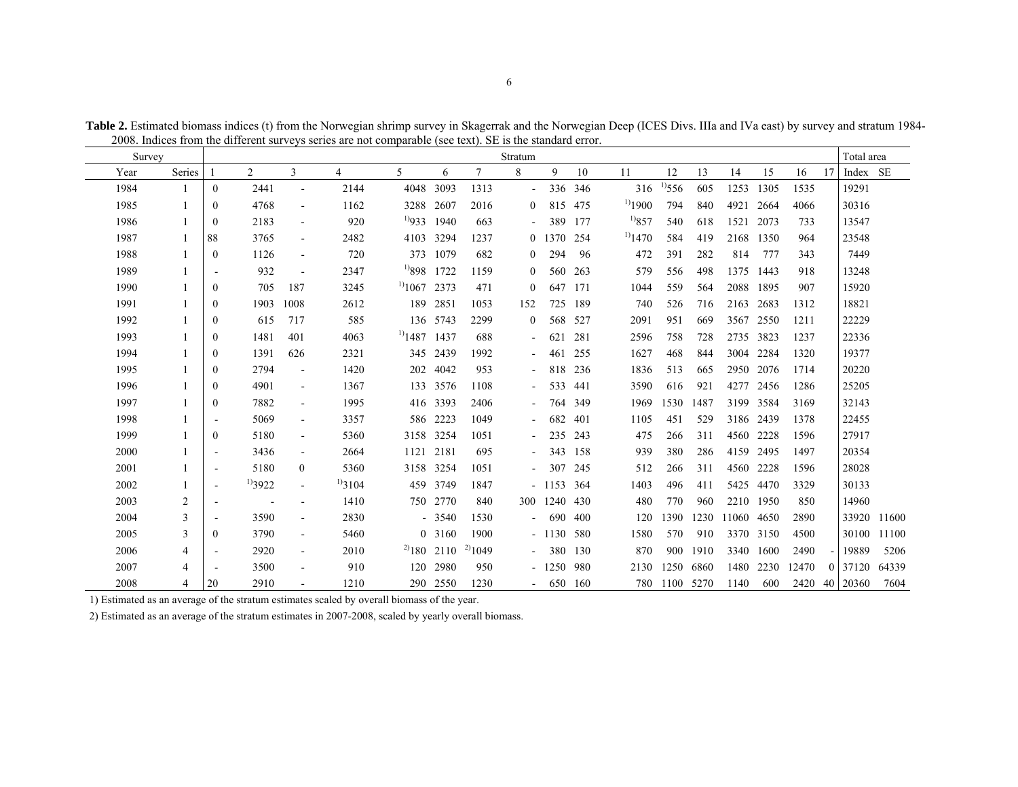| Survey |                |                          |                          |                          |              |                  |                  |             | Stratum                  |           |         |              |             |      |       |           |       | Total area    |             |
|--------|----------------|--------------------------|--------------------------|--------------------------|--------------|------------------|------------------|-------------|--------------------------|-----------|---------|--------------|-------------|------|-------|-----------|-------|---------------|-------------|
| Year   | Series         |                          | $\overline{2}$           | 3                        | 4            | 5                | 6                | $\tau$      | 8                        | 9         | 10      | 11           | 12          | 13   | 14    | 15        | 16    | Index SE      |             |
| 1984   |                | $\theta$                 | 2441                     |                          | 2144         | 4048             | 3093             | 1313        | $\blacksquare$           |           | 336 346 | 316          | $^{1)}$ 556 | 605  | 1253  | 1305      | 1535  | 19291         |             |
| 1985   |                | $\Omega$                 | 4768                     | $\overline{\phantom{a}}$ | 1162         | 3288 2607        |                  | 2016        | $\overline{0}$           | 815       | 475     | $^{1)}$ 1900 | 794         | 840  | 4921  | 2664      | 4066  | 30316         |             |
| 1986   |                | $\overline{0}$           | 2183                     | $\blacksquare$           | 920          | $^{1)}933$       | 1940             | 663         | $\blacksquare$           | 389       | 177     | $^{19}857$   | 540         | 618  | 1521  | 2073      | 733   | 13547         |             |
| 1987   |                | 88                       | 3765                     | $\sim$                   | 2482         |                  | 4103 3294        | 1237        | $\overline{0}$           | 1370      | 254     | $^{1)}$ 1470 | 584         | 419  | 2168  | 1350      | 964   | 23548         |             |
| 1988   |                | $\overline{0}$           | 1126                     | $\sim$                   | 720          |                  | 373 1079         | 682         | $\overline{0}$           | 294       | 96      | 472          | 391         | 282  | 814   | 777       | 343   | 7449          |             |
| 1989   |                |                          | 932                      | $\overline{\phantom{a}}$ | 2347         | $^{19}898$       | 1722             | 1159        | $\overline{0}$           | 560       | 263     | 579          | 556         | 498  | 1375  | 1443      | 918   | 13248         |             |
| 1990   |                | $\mathbf{0}$             | 705                      | 187                      | 3245         | $^{11}1067$      | 2373             | 471         | $\overline{0}$           | 647       | 171     | 1044         | 559         | 564  | 2088  | 1895      | 907   | 15920         |             |
| 1991   |                | $\mathbf{0}$             | 1903                     | 1008                     | 2612         | 189              | 2851             | 1053        | 152                      | 725       | 189     | 740          | 526         | 716  | 2163  | 2683      | 1312  | 18821         |             |
| 1992   |                | $\Omega$                 | 615                      | 717                      | 585          |                  | 136 5743         | 2299        | $\overline{0}$           |           | 568 527 | 2091         | 951         | 669  |       | 3567 2550 | 1211  | 22229         |             |
| 1993   |                | $\Omega$                 | 1481                     | 401                      | 4063         | $^{1}$ 1487 1437 |                  | 688         | $\overline{\phantom{a}}$ | 621       | 281     | 2596         | 758         | 728  |       | 2735 3823 | 1237  | 22336         |             |
| 1994   |                | $\overline{0}$           | 1391                     | 626                      | 2321         | 345              | 2439             | 1992        | $\blacksquare$           | 461       | 255     | 1627         | 468         | 844  | 3004  | 2284      | 1320  | 19377         |             |
| 1995   |                | $\Omega$                 | 2794                     | $\blacksquare$           | 1420         | 202              | 4042             | 953         | $\blacksquare$           | 818       | 236     | 1836         | 513         | 665  |       | 2950 2076 | 1714  | 20220         |             |
| 1996   |                | $\bf{0}$                 | 4901                     | $\sim$                   | 1367         |                  | 133 3576         | 1108        | $\blacksquare$           | 533       | 441     | 3590         | 616         | 921  | 4277  | 2456      | 1286  | 25205         |             |
| 1997   | -1             | $\Omega$                 | 7882                     | $\blacksquare$           | 1995         |                  | 416 3393         | 2406        | $\blacksquare$           | 764       | 349     | 1969         | 1530        | 1487 | 3199  | 3584      | 3169  | 32143         |             |
| 1998   |                | $\overline{\phantom{a}}$ | 5069                     | $\sim$                   | 3357         |                  | 586 2223         | 1049        | $\blacksquare$           | 682       | 401     | 1105         | 451         | 529  |       | 3186 2439 | 1378  | 22455         |             |
| 1999   |                | $\mathbf{0}$             | 5180                     | $\overline{\phantom{a}}$ | 5360         |                  | 3158 3254        | 1051        | $\blacksquare$           | 235       | 243     | 475          | 266         | 311  | 4560  | 2228      | 1596  | 27917         |             |
| 2000   |                |                          | 3436                     | $\sim$                   | 2664         | 1121 2181        |                  | 695         | $\blacksquare$           | 343       | 158     | 939          | 380         | 286  |       | 4159 2495 | 1497  | 20354         |             |
| 2001   |                | $\overline{\phantom{a}}$ | 5180                     | $\overline{0}$           | 5360         |                  | 3158 3254        | 1051        | $\blacksquare$           | 307       | 245     | 512          | 266         | 311  | 4560  | 2228      | 1596  | 28028         |             |
| 2002   |                | $\overline{\phantom{a}}$ | $^{1)}3922$              | $\blacksquare$           | $^{1)}$ 3104 |                  | 459 3749         | 1847        |                          | $-1153$   | 364     | 1403         | 496         | 411  | 5425  | 4470      | 3329  | 30133         |             |
| 2003   | 2              | $\overline{\phantom{a}}$ | $\overline{\phantom{a}}$ | $\blacksquare$           | 1410         |                  | 750 2770         | 840         | 300                      | 1240      | 430     | 480          | 770         | 960  |       | 2210 1950 | 850   | 14960         |             |
| 2004   | 3              | $\overline{\phantom{a}}$ | 3590                     | $\overline{\phantom{a}}$ | 2830         |                  | $-3540$          | 1530        | $\blacksquare$           | 690       | 400     | 120          | 1390        | 1230 | 11060 | 4650      | 2890  | 33920 11600   |             |
| 2005   | 3              | $\mathbf{0}$             | 3790                     | $\overline{\phantom{a}}$ | 5460         |                  | 0 3160           | 1900        |                          | $-1130$   | 580     | 1580         | 570         | 910  |       | 3370 3150 | 4500  |               | 30100 11100 |
| 2006   | $\overline{4}$ | $\overline{\phantom{a}}$ | 2920                     | $\sim$                   | 2010         |                  | $^{2)}$ 180 2110 | $^{2)}1049$ | $\sim$                   | 380       | 130     | 870          | 900         | 1910 |       | 3340 1600 | 2490  | 19889         | 5206        |
| 2007   | 4              |                          | 3500                     | $\overline{\phantom{a}}$ | 910          |                  | 120 2980         | 950         |                          | $-1250$   | 980     | 2130         | 1250        | 6860 | 1480  | 2230      | 12470 | 0 37120       | 64339       |
| 2008   | $\overline{4}$ | 20                       | 2910                     |                          | 1210         |                  | 290 2550         | 1230        |                          | $-650160$ |         |              | 780 1100    | 5270 | 1140  | 600       |       | 2420 40 20360 | 7604        |

**Table 2.** Estimated biomass indices (t) from the Norwegian shrimp survey in Skagerrak and the Norwegian Deep (ICES Divs. IIIa and IVa east) by survey and stratum 1984- 2008. Indices from the different surveys series are not comparable (see text). SE is the standard error.

1) Estimated as an average of the stratum estimates scaled by overall biomass of the year.

2) Estimated as an average of the stratum estimates in 2007-2008, scaled by yearly overall biomass.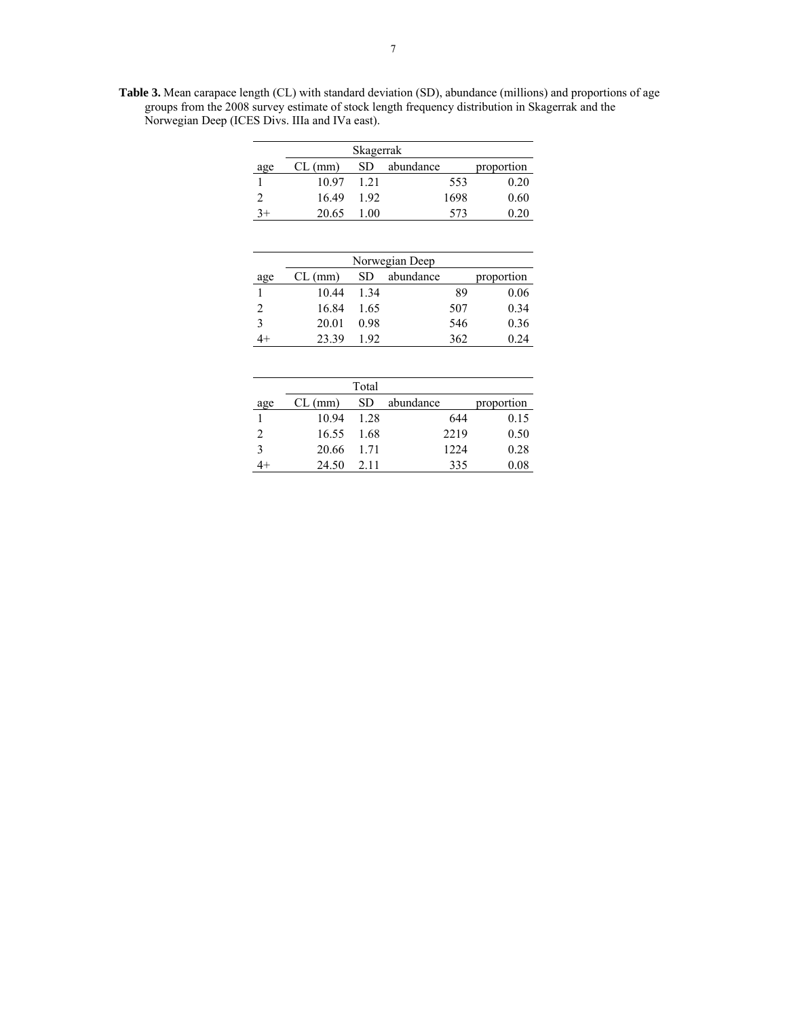**Table 3.** Mean carapace length (CL) with standard deviation (SD), abundance (millions) and proportions of age groups from the 2008 survey estimate of stock length frequency distribution in Skagerrak and the Norwegian Deep (ICES Divs. IIIa and IVa east).

|     | Skagerrak |      |           |            |  |  |  |  |  |
|-----|-----------|------|-----------|------------|--|--|--|--|--|
| age | $CL$ (mm) | SD.  | abundance | proportion |  |  |  |  |  |
|     | 10.97     | 1 21 | 553       | 0.20       |  |  |  |  |  |
|     | 16.49     | 192  | 1698      | 0.60       |  |  |  |  |  |
|     | 20.65     | (0() | 573       | 0.20       |  |  |  |  |  |

| Norwegian Deep |           |      |           |     |            |  |  |  |  |
|----------------|-----------|------|-----------|-----|------------|--|--|--|--|
| age            | $CL$ (mm) | SD   | abundance |     | proportion |  |  |  |  |
|                | 10.44     | 1 34 |           | 89  | 0.06       |  |  |  |  |
| 2              | 16.84     | 1.65 |           | 507 | 0.34       |  |  |  |  |
| 3              | 20.01     | 0.98 |           | 546 | 0.36       |  |  |  |  |
|                | 23.39     | 192  |           | 362 | 0 24       |  |  |  |  |

|               | Total     |       |           |            |  |  |  |  |  |  |
|---------------|-----------|-------|-----------|------------|--|--|--|--|--|--|
| age           | $CL$ (mm) | SD.   | abundance | proportion |  |  |  |  |  |  |
|               | 10.94     | 1 28  | 644       | 0.15       |  |  |  |  |  |  |
| 2             | 16.55     | 1.68  | 2219      | 0.50       |  |  |  |  |  |  |
| $\mathcal{R}$ | 20.66     | 1 7 1 | 1224      | 0.28       |  |  |  |  |  |  |
|               | 24.50     | 2.11  | 335       | 0.08       |  |  |  |  |  |  |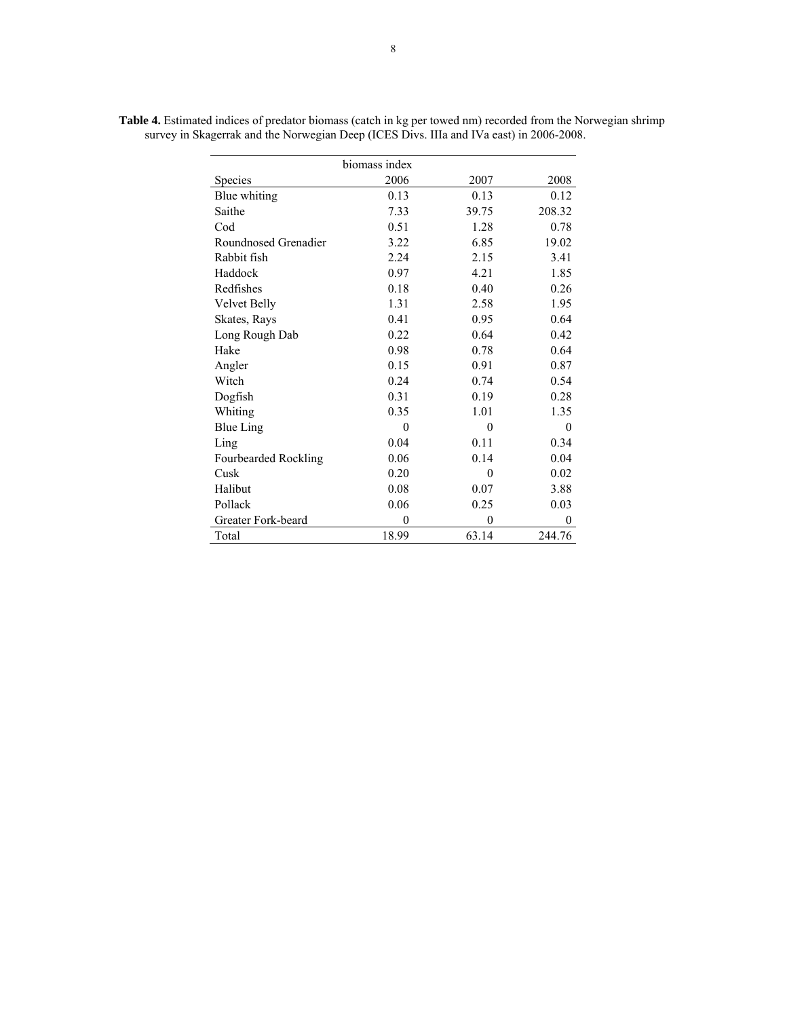|                      | biomass index |                  |                  |
|----------------------|---------------|------------------|------------------|
| Species              | 2006          | 2007             | 2008             |
| Blue whiting         | 0.13          | 0.13             | 0.12             |
| Saithe               | 7.33          | 39.75            | 208.32           |
| Cod                  | 0.51          | 1.28             | 0.78             |
| Roundnosed Grenadier | 3.22          | 6.85             | 19.02            |
| Rabbit fish          | 2.24          | 2.15             | 3.41             |
| Haddock              | 0.97          | 4.21             | 1.85             |
| Redfishes            | 0.18          | 0.40             | 0.26             |
| <b>Velvet Belly</b>  | 1.31          | 2.58             | 1.95             |
| Skates, Rays         | 0.41          | 0.95             | 0.64             |
| Long Rough Dab       | 0.22          | 0.64             | 0.42             |
| Hake                 | 0.98          | 0.78             | 0.64             |
| Angler               | 0.15          | 0.91             | 0.87             |
| Witch                | 0.24          | 0.74             | 0.54             |
| Dogfish              | 0.31          | 0.19             | 0.28             |
| Whiting              | 0.35          | 1.01             | 1.35             |
| <b>Blue Ling</b>     | $\theta$      | $\theta$         | $\boldsymbol{0}$ |
| Ling                 | 0.04          | 0.11             | 0.34             |
| Fourbearded Rockling | 0.06          | 0.14             | 0.04             |
| Cusk                 | 0.20          | $\boldsymbol{0}$ | 0.02             |
| Halibut              | 0.08          | 0.07             | 3.88             |
| Pollack              | 0.06          | 0.25             | 0.03             |
| Greater Fork-beard   | $\mathbf{0}$  | $\mathbf{0}$     | $\mathbf{0}$     |
| Total                | 18.99         | 63.14            | 244.76           |

**Table 4.** Estimated indices of predator biomass (catch in kg per towed nm) recorded from the Norwegian shrimp survey in Skagerrak and the Norwegian Deep (ICES Divs. IIIa and IVa east) in 2006-2008.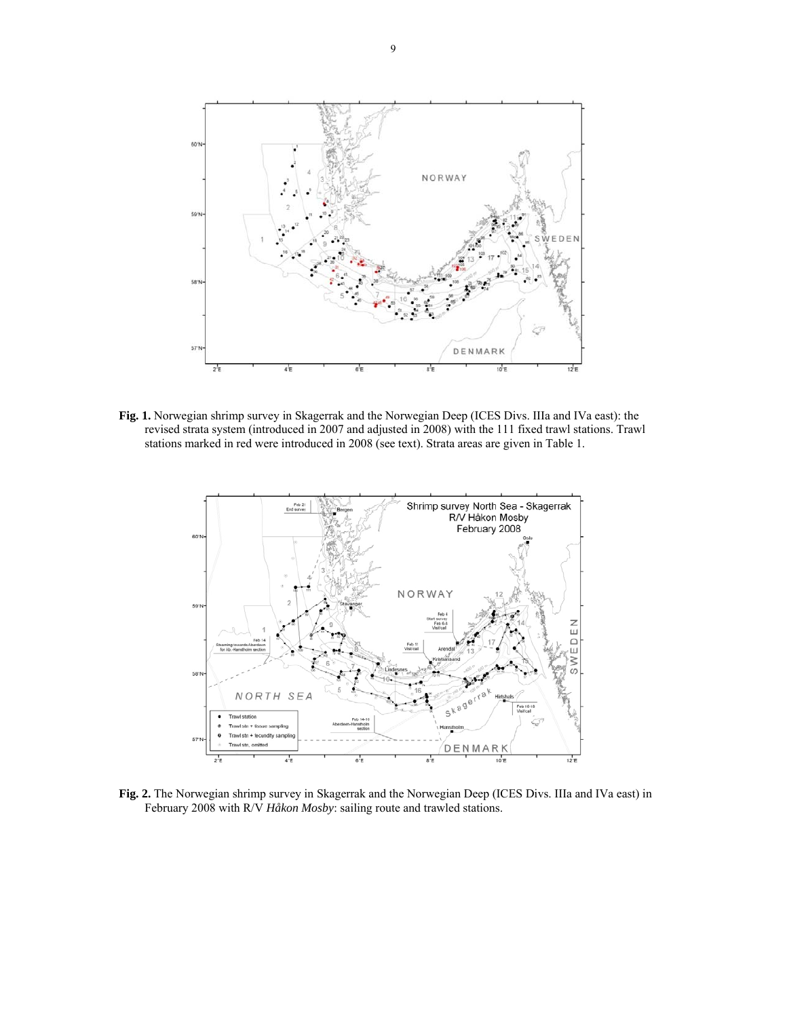

**Fig. 1.** Norwegian shrimp survey in Skagerrak and the Norwegian Deep (ICES Divs. IIIa and IVa east): the revised strata system (introduced in 2007 and adjusted in 2008) with the 111 fixed trawl stations. Trawl stations marked in red were introduced in 2008 (see text). Strata areas are given in Table 1.



**Fig. 2.** The Norwegian shrimp survey in Skagerrak and the Norwegian Deep (ICES Divs. IIIa and IVa east) in February 2008 with R/V *Håkon Mosby*: sailing route and trawled stations.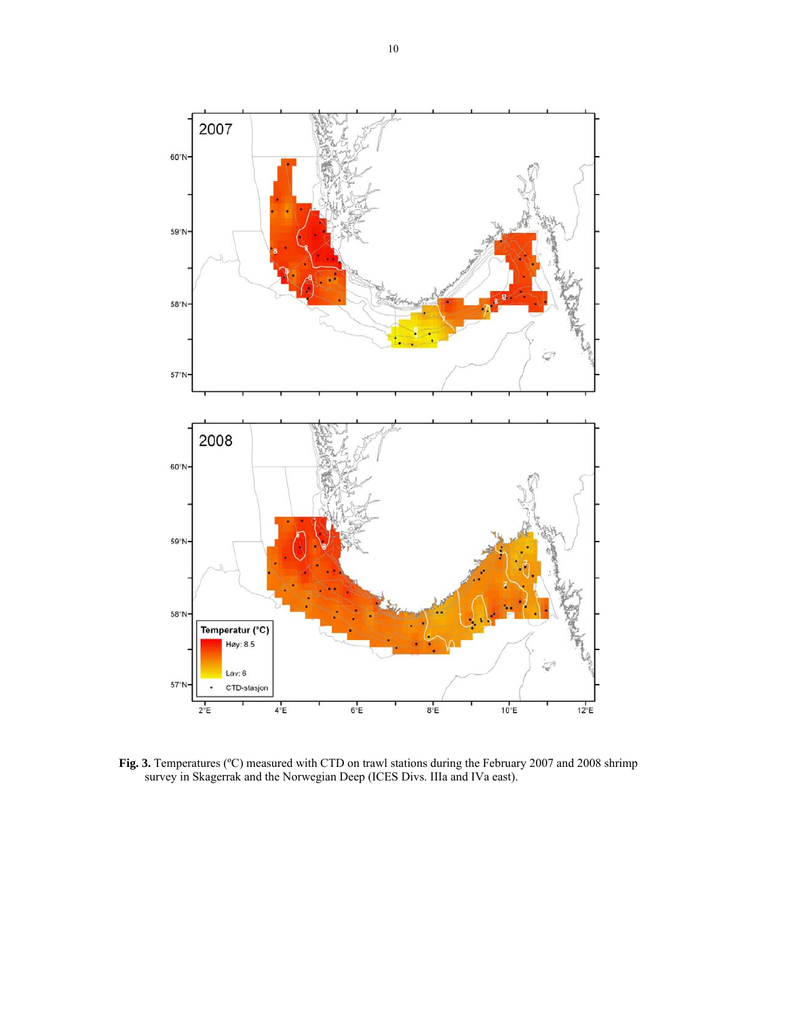

**Fig. 3.** Temperatures (ºC) measured with CTD on trawl stations during the February 2007 and 2008 shrimp survey in Skagerrak and the Norwegian Deep (ICES Divs. IIIa and IVa east).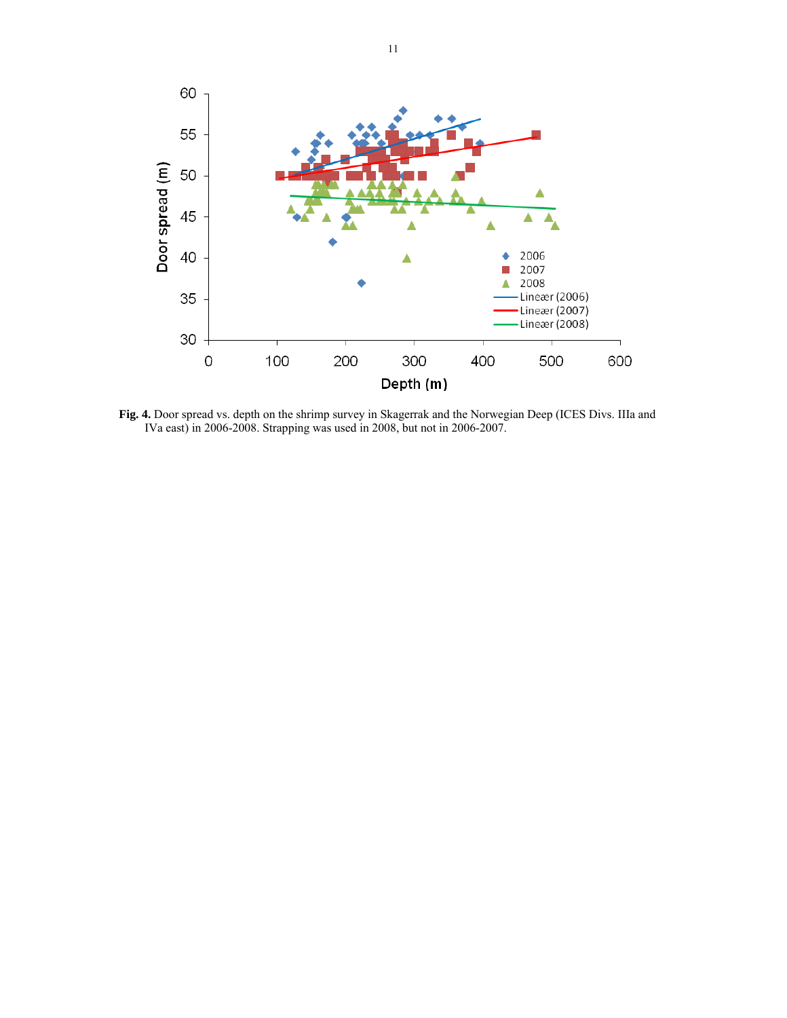

**Fig. 4.** Door spread vs. depth on the shrimp survey in Skagerrak and the Norwegian Deep (ICES Divs. IIIa and IVa east) in 2006-2008. Strapping was used in 2008, but not in 2006-2007.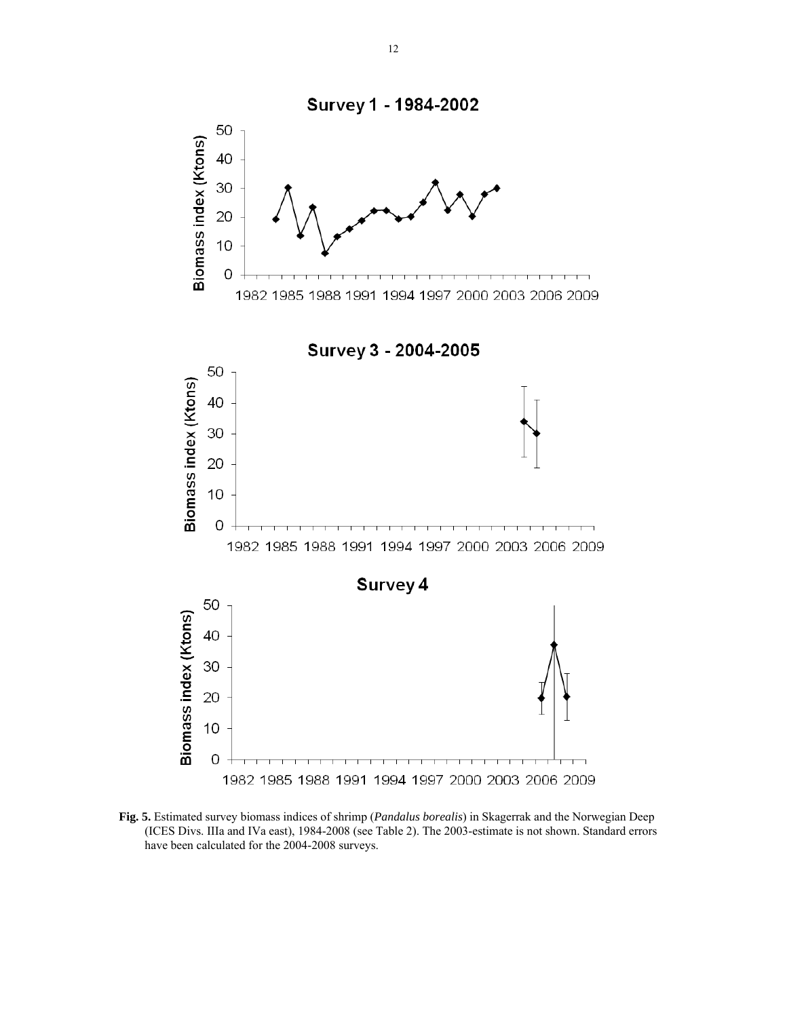

**Fig. 5.** Estimated survey biomass indices of shrimp (*Pandalus borealis*) in Skagerrak and the Norwegian Deep (ICES Divs. IIIa and IVa east), 1984-2008 (see Table 2). The 2003-estimate is not shown. Standard errors have been calculated for the 2004-2008 surveys.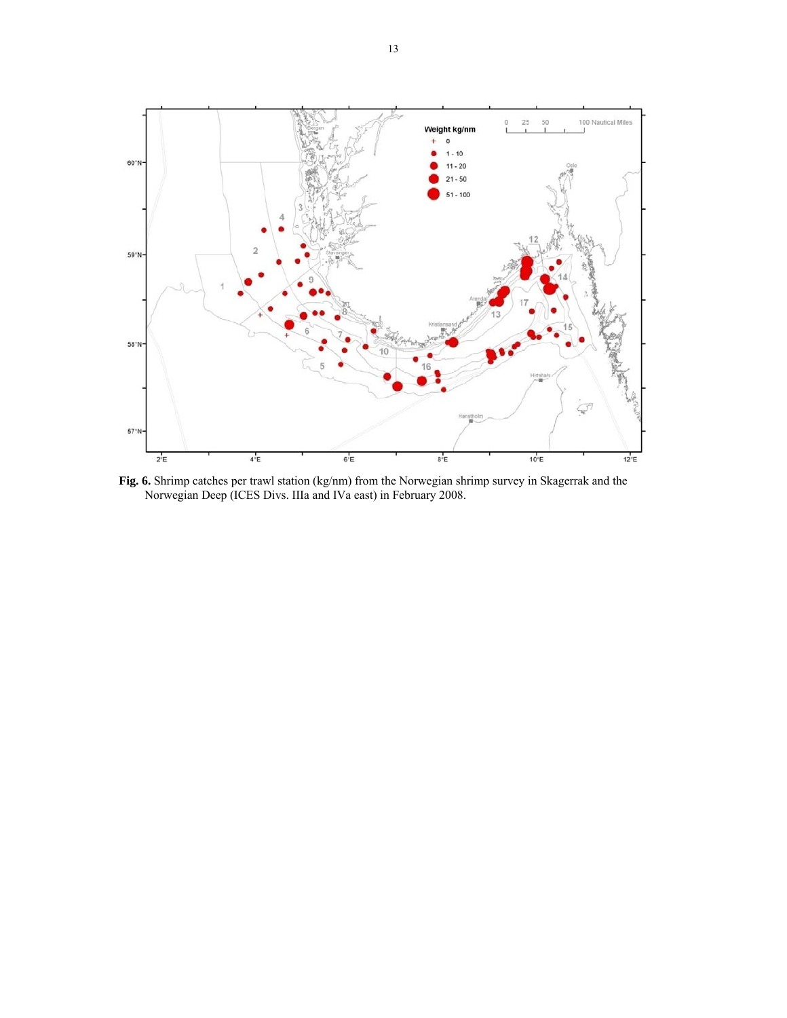

**Fig. 6.** Shrimp catches per trawl station (kg/nm) from the Norwegian shrimp survey in Skagerrak and the Norwegian Deep (ICES Divs. IIIa and IVa east) in February 2008.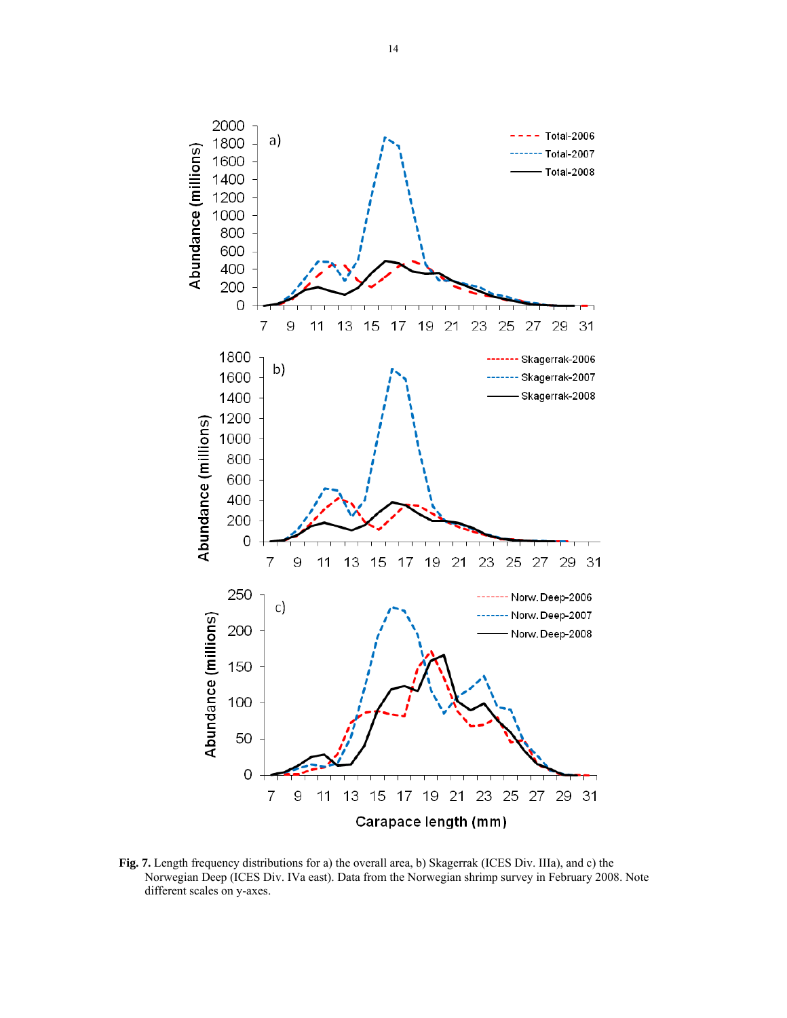

**Fig. 7.** Length frequency distributions for a) the overall area, b) Skagerrak (ICES Div. IIIa), and c) the Norwegian Deep (ICES Div. IVa east). Data from the Norwegian shrimp survey in February 2008. Note different scales on y-axes.